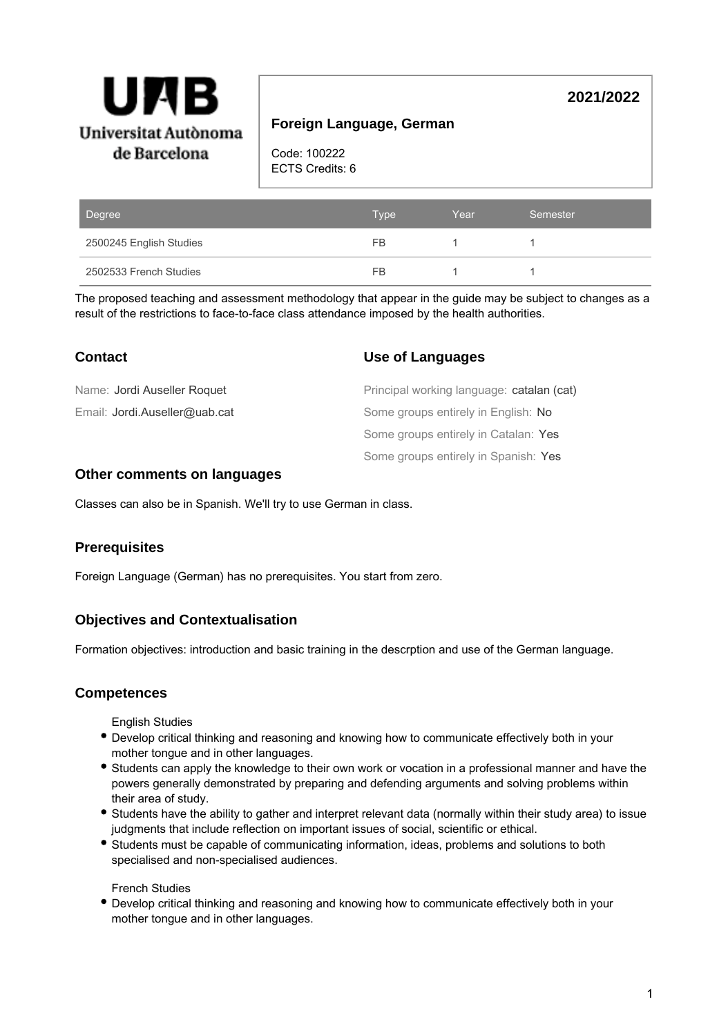

# **Foreign Language, German**

Code: 100222 ECTS Credits: 6

| Degree                  | <b>Type</b> | Year | Semester |
|-------------------------|-------------|------|----------|
| 2500245 English Studies | FB.         |      |          |
| 2502533 French Studies  | FB          |      |          |

The proposed teaching and assessment methodology that appear in the guide may be subject to changes as a result of the restrictions to face-to-face class attendance imposed by the health authorities.

| <b>Contact</b>                | Use of Languages                          |
|-------------------------------|-------------------------------------------|
| Name: Jordi Auseller Roquet   | Principal working language: catalan (cat) |
| Email: Jordi.Auseller@uab.cat | Some groups entirely in English: No       |
|                               | Some groups entirely in Catalan: Yes      |
|                               | Some groups entirely in Spanish: Yes      |

### **Other comments on languages**

Classes can also be in Spanish. We'll try to use German in class.

### **Prerequisites**

Foreign Language (German) has no prerequisites. You start from zero.

### **Objectives and Contextualisation**

Formation objectives: introduction and basic training in the descrption and use of the German language.

### **Competences**

English Studies

- Develop critical thinking and reasoning and knowing how to communicate effectively both in your mother tongue and in other languages.
- Students can apply the knowledge to their own work or vocation in a professional manner and have the powers generally demonstrated by preparing and defending arguments and solving problems within their area of study.
- Students have the ability to gather and interpret relevant data (normally within their study area) to issue judgments that include reflection on important issues of social, scientific or ethical.
- Students must be capable of communicating information, ideas, problems and solutions to both specialised and non-specialised audiences.

French Studies

Develop critical thinking and reasoning and knowing how to communicate effectively both in your mother tongue and in other languages.

**2021/2022**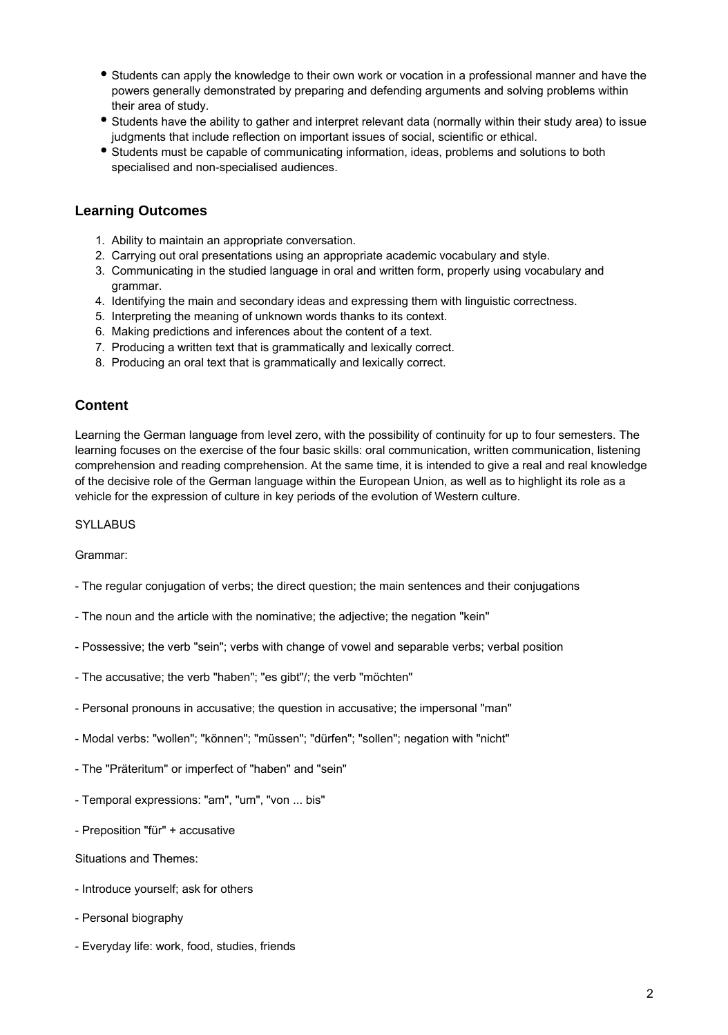- Students can apply the knowledge to their own work or vocation in a professional manner and have the powers generally demonstrated by preparing and defending arguments and solving problems within their area of study.
- Students have the ability to gather and interpret relevant data (normally within their study area) to issue judgments that include reflection on important issues of social, scientific or ethical.
- Students must be capable of communicating information, ideas, problems and solutions to both specialised and non-specialised audiences.

## **Learning Outcomes**

- 1. Ability to maintain an appropriate conversation.
- 2. Carrying out oral presentations using an appropriate academic vocabulary and style.
- 3. Communicating in the studied language in oral and written form, properly using vocabulary and grammar.
- 4. Identifying the main and secondary ideas and expressing them with linguistic correctness.
- 5. Interpreting the meaning of unknown words thanks to its context.
- 6. Making predictions and inferences about the content of a text.
- 7. Producing a written text that is grammatically and lexically correct.
- 8. Producing an oral text that is grammatically and lexically correct.

### **Content**

Learning the German language from level zero, with the possibility of continuity for up to four semesters. The learning focuses on the exercise of the four basic skills: oral communication, written communication, listening comprehension and reading comprehension. At the same time, it is intended to give a real and real knowledge of the decisive role of the German language within the European Union, as well as to highlight its role as a vehicle for the expression of culture in key periods of the evolution of Western culture.

**SYLLABUS** 

Grammar:

- The regular conjugation of verbs; the direct question; the main sentences and their conjugations
- The noun and the article with the nominative; the adjective; the negation "kein"
- Possessive; the verb "sein"; verbs with change of vowel and separable verbs; verbal position
- The accusative; the verb "haben"; "es gibt"/; the verb "möchten"
- Personal pronouns in accusative; the question in accusative; the impersonal "man"
- Modal verbs: "wollen"; "können"; "müssen"; "dürfen"; "sollen"; negation with "nicht"
- The "Präteritum" or imperfect of "haben" and "sein"
- Temporal expressions: "am", "um", "von ... bis"
- Preposition "für" + accusative
- Situations and Themes:
- Introduce yourself; ask for others
- Personal biography
- Everyday life: work, food, studies, friends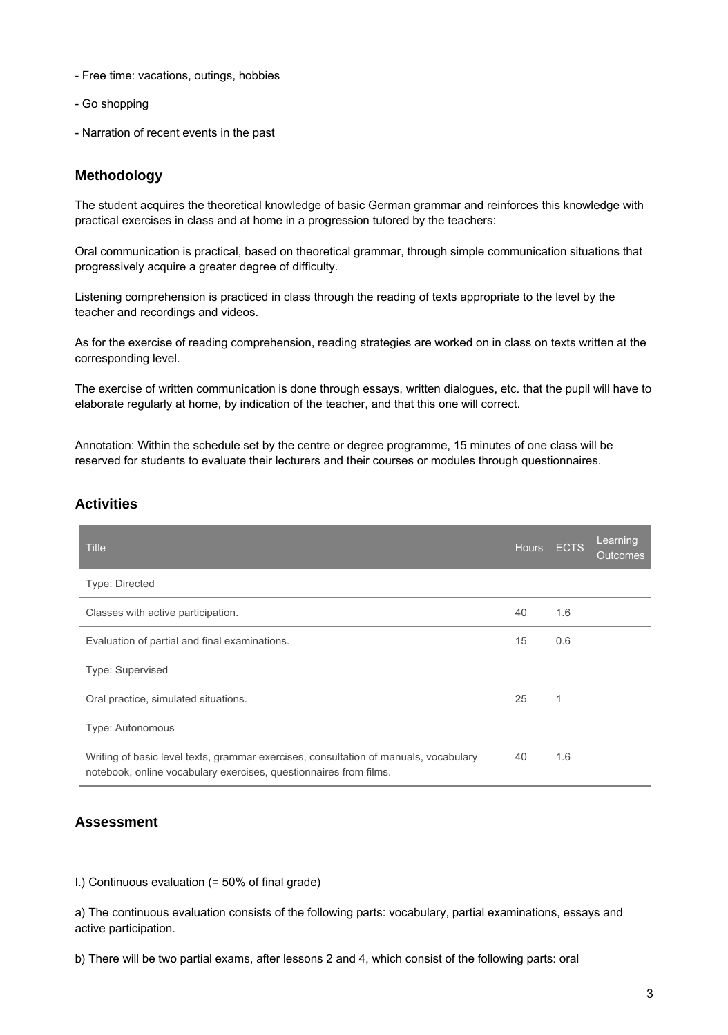- Free time: vacations, outings, hobbies
- Go shopping
- Narration of recent events in the past

### **Methodology**

The student acquires the theoretical knowledge of basic German grammar and reinforces this knowledge with practical exercises in class and at home in a progression tutored by the teachers:

Oral communication is practical, based on theoretical grammar, through simple communication situations that progressively acquire a greater degree of difficulty.

Listening comprehension is practiced in class through the reading of texts appropriate to the level by the teacher and recordings and videos.

As for the exercise of reading comprehension, reading strategies are worked on in class on texts written at the corresponding level.

The exercise of written communication is done through essays, written dialogues, etc. that the pupil will have to elaborate regularly at home, by indication of the teacher, and that this one will correct.

Annotation: Within the schedule set by the centre or degree programme, 15 minutes of one class will be reserved for students to evaluate their lecturers and their courses or modules through questionnaires.

| Activities |  |
|------------|--|
|            |  |

| <b>Title</b>                                                                                                                                              | <b>Hours</b> | <b>ECTS</b> | Learning<br><b>Outcomes</b> |
|-----------------------------------------------------------------------------------------------------------------------------------------------------------|--------------|-------------|-----------------------------|
| <b>Type: Directed</b>                                                                                                                                     |              |             |                             |
| Classes with active participation.                                                                                                                        | 40           | 1.6         |                             |
| Evaluation of partial and final examinations.                                                                                                             | 15           | 0.6         |                             |
| Type: Supervised                                                                                                                                          |              |             |                             |
| Oral practice, simulated situations.                                                                                                                      | 25           | 1           |                             |
| Type: Autonomous                                                                                                                                          |              |             |                             |
| Writing of basic level texts, grammar exercises, consultation of manuals, vocabulary<br>notebook, online vocabulary exercises, questionnaires from films. | 40           | 1.6         |                             |

### **Assessment**

I.) Continuous evaluation (= 50% of final grade)

a) The continuous evaluation consists of the following parts: vocabulary, partial examinations, essays and active participation.

b) There will be two partial exams, after lessons 2 and 4, which consist of the following parts: oral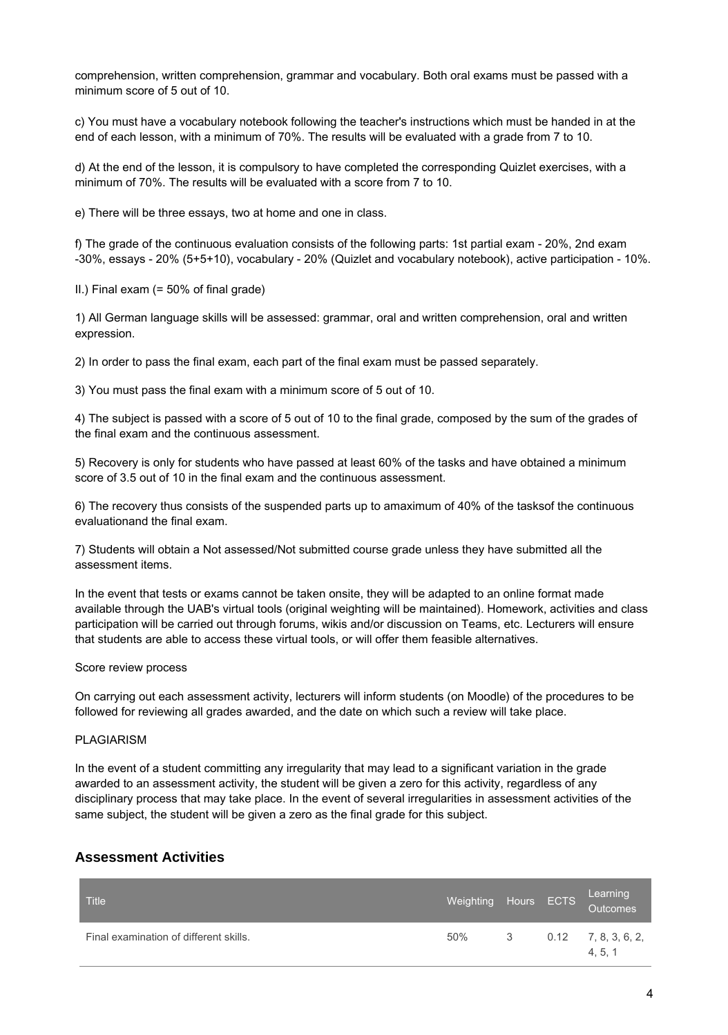comprehension, written comprehension, grammar and vocabulary. Both oral exams must be passed with a minimum score of 5 out of 10.

c) You must have a vocabulary notebook following the teacher's instructions which must be handed in at the end of each lesson, with a minimum of 70%. The results will be evaluated with a grade from 7 to 10.

d) At the end of the lesson, it is compulsory to have completed the corresponding Quizlet exercises, with a minimum of 70%. The results will be evaluated with a score from 7 to 10.

e) There will be three essays, two at home and one in class.

f) The grade of the continuous evaluation consists of the following parts: 1st partial exam - 20%, 2nd exam -30%, essays - 20% (5+5+10), vocabulary - 20% (Quizlet and vocabulary notebook), active participation - 10%.

II.) Final exam (= 50% of final grade)

1) All German language skills will be assessed: grammar, oral and written comprehension, oral and written expression.

2) In order to pass the final exam, each part of the final exam must be passed separately.

3) You must pass the final exam with a minimum score of 5 out of 10.

4) The subject is passed with a score of 5 out of 10 to the final grade, composed by the sum of the grades of the final exam and the continuous assessment.

5) Recovery is only for students who have passed at least 60% of the tasks and have obtained a minimum score of 3.5 out of 10 in the final exam and the continuous assessment.

6) The recovery thus consists of the suspended parts up to amaximum of 40% of the tasksof the continuous evaluationand the final exam.

7) Students will obtain a Not assessed/Not submitted course grade unless they have submitted all the assessment items.

In the event that tests or exams cannot be taken onsite, they will be adapted to an online format made available through the UAB's virtual tools (original weighting will be maintained). Homework, activities and class participation will be carried out through forums, wikis and/or discussion on Teams, etc. Lecturers will ensure that students are able to access these virtual tools, or will offer them feasible alternatives.

#### Score review process

On carrying out each assessment activity, lecturers will inform students (on Moodle) of the procedures to be followed for reviewing all grades awarded, and the date on which such a review will take place.

#### PLAGIARISM

In the event of a student committing any irregularity that may lead to a significant variation in the grade awarded to an assessment activity, the student will be given a zero for this activity, regardless of any disciplinary process that may take place. In the event of several irregularities in assessment activities of the same subject, the student will be given a zero as the final grade for this subject.

### **Assessment Activities**

| <b>Title</b>                           |     |    | Learning<br>Weighting Hours ECTS Outcomes |
|----------------------------------------|-----|----|-------------------------------------------|
| Final examination of different skills. | 50% | -3 | $0.12$ 7, 8, 3, 6, 2,<br>4.5.1            |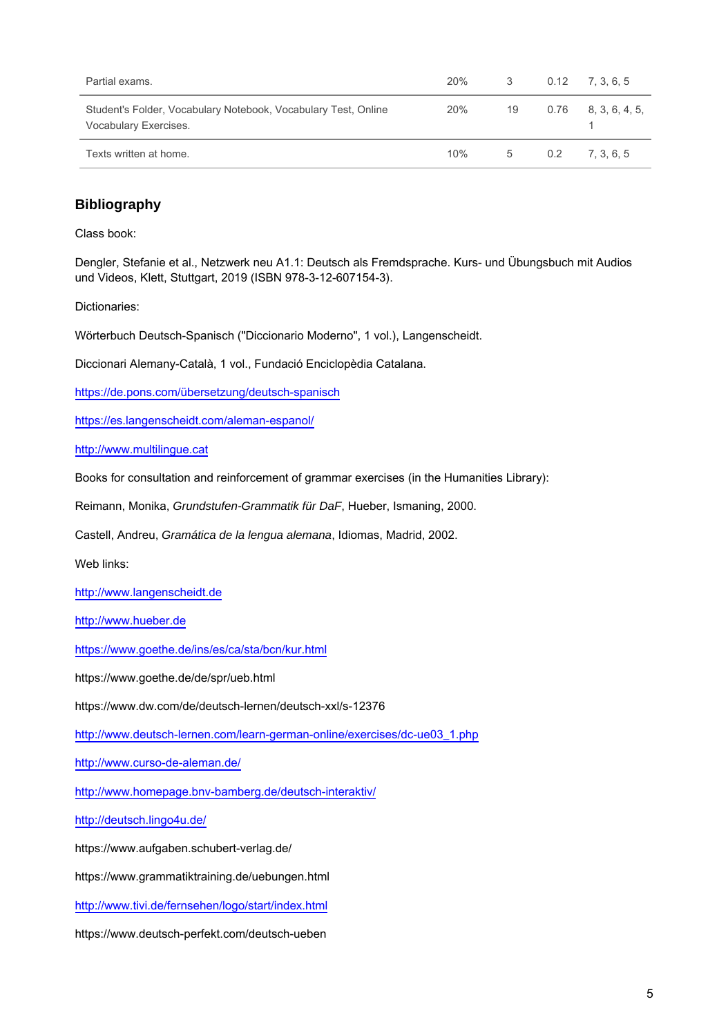| Partial exams.                                                                          | 20% | 3  |     | $0.12$ 7, 3, 6, 5      |
|-----------------------------------------------------------------------------------------|-----|----|-----|------------------------|
| Student's Folder, Vocabulary Notebook, Vocabulary Test, Online<br>Vocabulary Exercises. | 20% | 19 |     | $0.76$ $8, 3, 6, 4, 5$ |
| Texts written at home.                                                                  | 10% | 5  | 0.2 | 7.3.6.5                |

## **Bibliography**

Class book:

Dengler, Stefanie et al., Netzwerk neu A1.1: Deutsch als Fremdsprache. Kurs- und Übungsbuch mit Audios und Videos, Klett, Stuttgart, 2019 (ISBN 978-3-12-607154-3).

Dictionaries:

Wörterbuch Deutsch-Spanisch ("Diccionario Moderno", 1 vol.), Langenscheidt.

Diccionari Alemany-Català, 1 vol., Fundació Enciclopèdia Catalana.

[https://de.pons.com/übersetzung/deutsch-spanisch](https://de.pons.com/%C3%BCbersetzung/deutsch-spanisch)

<https://es.langenscheidt.com/aleman-espanol/>

[http://www.multilingue.cat](http://www.multilingue.cat/)

Books for consultation and reinforcement of grammar exercises (in the Humanities Library):

Reimann, Monika, Grundstufen-Grammatik für DaF, Hueber, Ismaning, 2000.

Castell, Andreu, Gramática de la lengua alemana, Idiomas, Madrid, 2002.

Web links:

[http://www.langenscheidt.de](http://www.langenscheidt.de/)

[http://www.hueber.de](http://www.hueber.de/seite/pg_dwlprodukte_the)

<https://www.goethe.de/ins/es/ca/sta/bcn/kur.html>

https://www.goethe.de/de/spr/ueb.html

https://www.dw.com/de/deutsch-lernen/deutsch-xxl/s-12376

[http://www.deutsch-lernen.com/learn-german-online/exercises/dc-ue03\\_1.php](http://www.deutsch-lernen.com/learn-german-online/exercises/dc-ue03_1.php)

<http://www.curso-de-aleman.de/>

<http://www.homepage.bnv-bamberg.de/deutsch-interaktiv/>

<http://deutsch.lingo4u.de/>

https://www.aufgaben.schubert-verlag.de/

https://www.grammatiktraining.de/uebungen.html

<http://www.tivi.de/fernsehen/logo/start/index.html>

https://www.deutsch-perfekt.com/deutsch-ueben